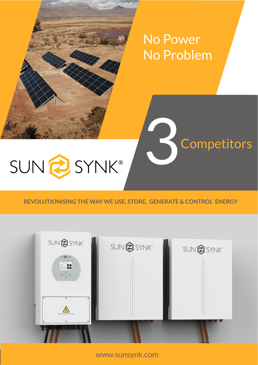# No Power No Problem

**Competitors** 

# SUN@SYNK®

#### **REVOLUTIONISING THE WAY WE USE, STORE, GENERATE & CONTROL ENERGY**



www.sunsynk.com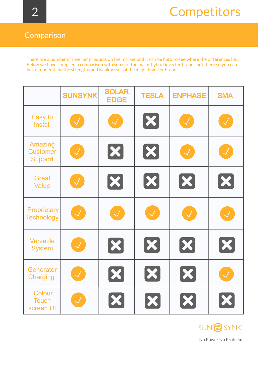#### Comparison

There are a number of inverter products on the market and it can be hard to see where the differences lie. Below we have compiled a comparison with some of the major hybrid inverter brands out there so you can better understand the strengths and weaknesses of the major inverter brands.

|                                              | <b>SUNSYNK</b>                           | <b>SOLAR</b><br><b>EDGE</b> | <b>TESLA</b>               | <b>ENPHASE</b>             | <b>SMA</b>                  |
|----------------------------------------------|------------------------------------------|-----------------------------|----------------------------|----------------------------|-----------------------------|
| Easy to<br><b>Install</b>                    | $\left\lfloor \mathcal{A} \right\rfloor$ | $\left(\mathcal{N}\right)$  | $\left[\mathbf{x}\right]$  | $\bigcup$                  | $\sqrt{2}$                  |
| Amazing<br><b>Customer</b><br><b>Support</b> | $\left(\mathcal{A}\right)$               | $\boldsymbol{\mathcal{X}}$  | $\boldsymbol{\mathsf{X}}$  | $\left(\mathcal{N}\right)$ | $\sqrt{2}$                  |
| <b>Great</b><br><b>Value</b>                 |                                          | X                           | $\bm{\chi}$                | $\bm{\chi}$                | $\boldsymbol{\mathcal{X}}$  |
| <b>Proprietary</b><br><b>Technology</b>      | $\left(\mathcal{N}\right)$               | $\left \mathcal{A}\right $  | $\left(\mathcal{N}\right)$ | $\mathcal{A}$              | $\mathcal{A}$               |
| <b>Versatile</b><br><b>System</b>            | $\sqrt{}$                                | X                           | X                          | X                          | X                           |
| Generator<br><b>Charging</b>                 | $\mathcal{A}^{\top}$                     | X                           | $\bm{\mathsf{X}}$          | $\bm{x}$                   | $\mathcal{S}^{\mathcal{S}}$ |
| Colour<br><b>Touch</b><br>screen UI          |                                          | X                           | X                          | X                          | $\bm{x}$                    |



No Power No Problem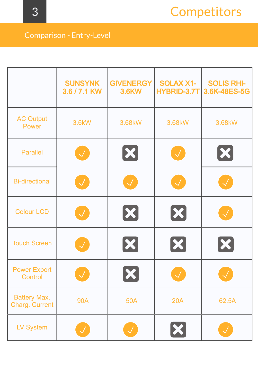### Comparison - Entry-Level

|                                              | <b>SUNSYNK</b><br>3.6 / 7.1 KW | <b>GIVENERGY</b><br><b>3.6KW</b> | <b>SOLAX X1-</b><br><b>HYBRID-3.7T</b> | <b>SOLIS RHI-</b><br>3.6K-48ES-5G |
|----------------------------------------------|--------------------------------|----------------------------------|----------------------------------------|-----------------------------------|
| <b>AC Output</b><br><b>Power</b>             | 3.6kW                          | 3.68kW                           | 3.68kW                                 | 3.68kW                            |
| <b>Parallel</b>                              | $\mathcal{A}^{\mathcal{A}}$    | $\boldsymbol{\mathsf{X}}$        | $\mathcal{A}^{\mathcal{C}}$            | $ \boldsymbol{\mathsf{X}} $       |
| <b>Bi-directional</b>                        | $\mathcal{A}$                  | $\mathcal{L}$                    | $\mathcal{A}$                          | <b>All</b>                        |
| <b>Colour LCD</b>                            | $\mathcal{A}$                  | $\left[\infty\right]$            | $\left[\infty\right]$                  | $\mathcal{A}^+$                   |
| <b>Touch Screen</b>                          |                                | $ \boldsymbol{\varkappa} $       | X                                      | X                                 |
| <b>Power Export</b><br>Control               |                                | X                                | $\bigvee$                              |                                   |
| <b>Battery Max.</b><br><b>Charg. Current</b> | <b>90A</b>                     | <b>50A</b>                       | <b>20A</b>                             | 62.5A                             |
| <b>LV System</b>                             |                                |                                  | $\boldsymbol{\mathsf{X}}$              |                                   |

3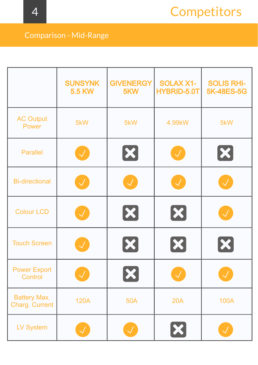### Comparison - Mid-Range

|                                              | <b>SUNSYNK</b><br><b>5.5 KW</b> | <b>GIVENERGY</b><br>5KW    | <b>SOLAX X1-</b><br><b>HYBRID-5.0T</b> | <b>SOLIS RHI-</b><br><b>5K-48ES-5G</b> |
|----------------------------------------------|---------------------------------|----------------------------|----------------------------------------|----------------------------------------|
| <b>AC Output</b><br><b>Power</b>             | 5kW                             | 5kW                        | 4.99kW                                 | 5kW                                    |
| <b>Parallel</b>                              | $\mathcal{A}^{\mathcal{C}}$     | $\boldsymbol{\mathcal{X}}$ | $\mathcal{A}^{\mathcal{C}}$            | $\vert\mathbf{x}\vert$                 |
| <b>Bi-directional</b>                        | $\mathcal{A}^{\prime}$          | $\mathcal{A}$              | $\mathcal{A}$                          | <b>NI</b>                              |
| <b>Colour LCD</b>                            | $\mathcal{A}^+$                 | $\left[\infty\right]$      | $\bm{\mathsf{X}}$                      | $\sqrt{}$                              |
| <b>Touch Screen</b>                          |                                 | X                          | X                                      | X                                      |
| <b>Power Export</b><br><b>Control</b>        |                                 | X                          | $\mathcal{A}$                          |                                        |
| <b>Battery Max.</b><br><b>Charg. Current</b> | <b>120A</b>                     | <b>50A</b>                 | <b>20A</b>                             | <b>100A</b>                            |
| <b>LV System</b>                             |                                 |                            | $\boldsymbol{\mathsf{X}}$              |                                        |

4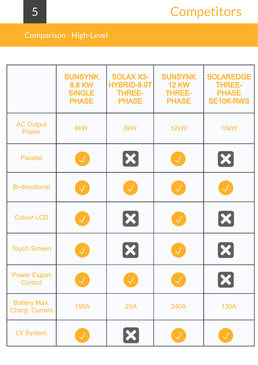### Comparison - High-Level

|                                              | <b>SUNSYNK</b><br><b>8.8 KW</b><br><b>SINGLE</b><br><b>PHASE</b> | <b>SOLAX X3-</b><br><b>HYBRID-8.0T</b><br><b>THREE-</b><br><b>PHASE</b> | <b>SUNSYNK</b><br><b>12 KW</b><br><b>THREE-</b><br><b>PHASE</b> | <b>SOLAREDGE</b><br><b>THREE-</b><br><b>PHASE</b><br><b>SE10K-RWS</b> |
|----------------------------------------------|------------------------------------------------------------------|-------------------------------------------------------------------------|-----------------------------------------------------------------|-----------------------------------------------------------------------|
| <b>AC Output</b><br>Power                    | 8kW                                                              | 8kW                                                                     | 12kW                                                            | 10 <sub>k</sub> W                                                     |
| <b>Parallel</b>                              | $\sqrt{2}$                                                       | X                                                                       | $\left \mathcal{N}\right $                                      | $\boldsymbol{\mathcal{X}}$                                            |
| <b>Bi-directional</b>                        | $\sqrt{2}$                                                       |                                                                         | $\sqrt{2}$                                                      | $\mathcal{A}$                                                         |
| <b>Colour LCD</b>                            | $\sqrt{2}$                                                       | X                                                                       | $\sqrt{2}$                                                      | X                                                                     |
| <b>Touch Screen</b>                          | $\sqrt{}$                                                        |                                                                         | $\mathcal{J}$                                                   |                                                                       |
| <b>Power Export</b><br><b>Control</b>        |                                                                  |                                                                         | $\mathcal{A}^+$                                                 | $\left[\mathbf{x}\right]$                                             |
| <b>Battery Max.</b><br><b>Charg. Current</b> | <b>190A</b>                                                      | <b>25A</b>                                                              | <b>240A</b>                                                     | <b>130A</b>                                                           |
| <b>LV System</b>                             |                                                                  | $\vert\mathbf{x}\vert$                                                  | $\mathcal{J}^-$                                                 |                                                                       |

5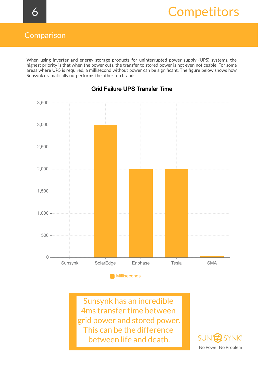When using inverter and energy storage products for uninterrupted power supply (UPS) systems, the highest priority is that when the power cuts, the transfer to stored power is not even noticeable. For some areas where UPS is required, a millisecond without power can be significant. The figure below shows how Sunsynk dramatically outperforms the other top brands.



#### Grid Failure UPS Transfer Time

Sunsynk has an incredible 4ms transfer time between grid power and stored power. This can be the difference between life and death.

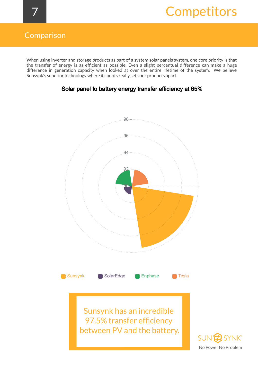#### Comparison

When using inverter and storage products as part of a system solar panels system, one core priority is that the transfer of energy is as efficient as possible. Even a slight percentual difference can make a huge difference in generation capacity when looked at over the entire lifetime of the system. We believe Sunsynk's superior technology where it counts really sets our products apart.



#### Solar panel to battery energy transfer efficiency at 65%

Sunsynk has an incredible 97.5% transfer efficiency between PV and the battery.

**SUN SYNK®** No Power No Problem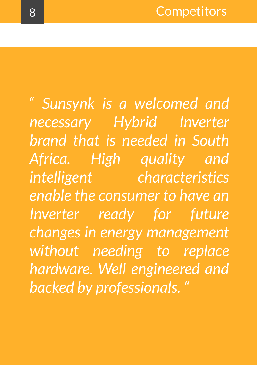" *Sunsynk is a welcomed and necessary Hybrid Inverter brand that is needed in South Africa. High quality and intelligent characteristics enable the consumer to have an Inverter ready for future changes in energy management without needing to replace hardware. Well engineered and backed by professionals. "*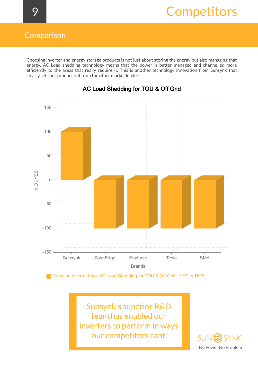#### Comparison

Choosing inverter and energy storage products is not just about storing the energy but also managing that energy. AC Load shedding technology means that the power is better managed and channelled more efficiently to the areas that really require it. This is another technology innovation from Sunsynk that clearly sets our product out from the other market leaders.



#### AC Load Shedding for TOU & Off Grid

Does the inverter have AC Load Shedding for TOU & Off Grid - YES or NO?

Sunsynk's superior R&D team has enabled our inverters to perform in ways our competitors cant.

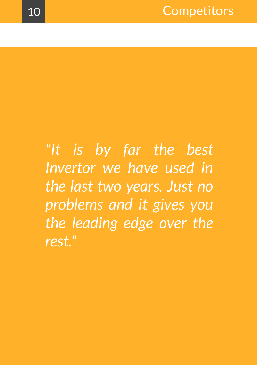*"It is by far the best Invertor we have used in the last two years. Just no problems and it gives you the leading edge over the rest. "*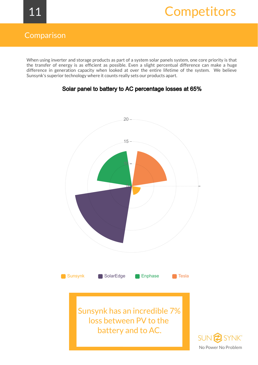#### Comparison

When using inverter and storage products as part of a system solar panels system, one core priority is that the transfer of energy is as efficient as possible. Even a slight percentual difference can make a huge difference in generation capacity when looked at over the entire lifetime of the system. We believe Sunsynk's superior technology where it counts really sets our products apart.



#### Solar panel to battery to AC percentage losses at 65%

No Power No Problem

**SYNK®**